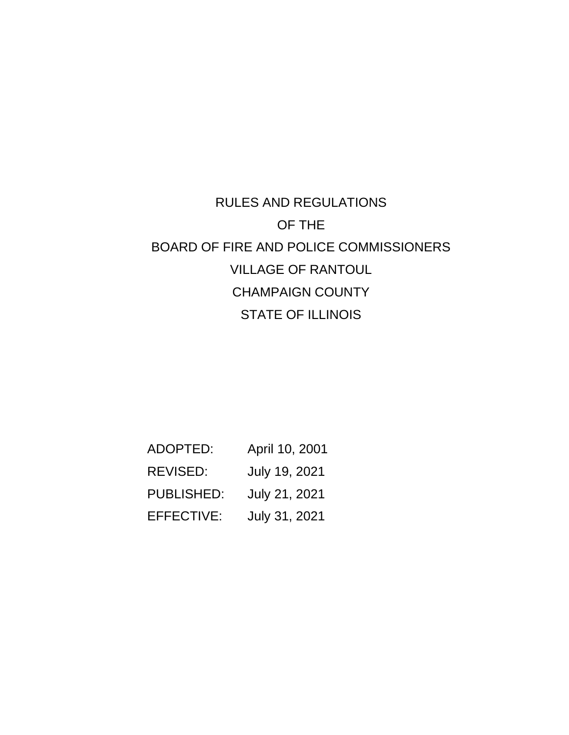# RULES AND REGULATIONS OF THE BOARD OF FIRE AND POLICE COMMISSIONERS VILLAGE OF RANTOUL CHAMPAIGN COUNTY STATE OF ILLINOIS

| ADOPTED:          | April 10, 2001 |
|-------------------|----------------|
| REVISED:          | July 19, 2021  |
| <b>PUBLISHED:</b> | July 21, 2021  |
| <b>EFFECTIVE:</b> | July 31, 2021  |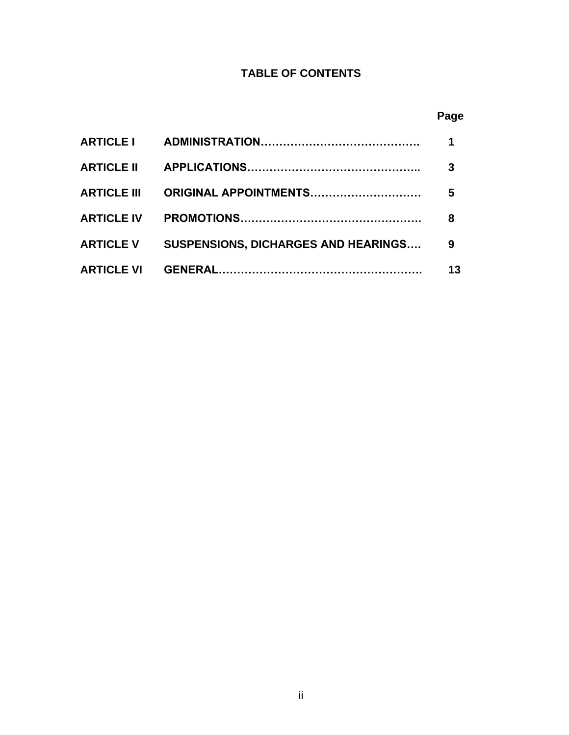# **TABLE OF CONTENTS**

# **Page**

|                                                 | 3  |
|-------------------------------------------------|----|
|                                                 | 5  |
|                                                 | 8  |
| ARTICLE V SUSPENSIONS, DICHARGES AND HEARINGS 9 |    |
|                                                 | 13 |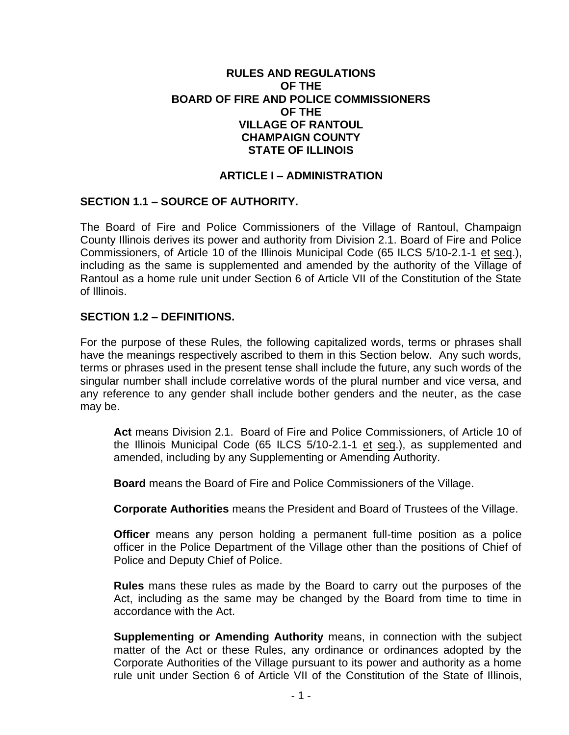#### **RULES AND REGULATIONS OF THE BOARD OF FIRE AND POLICE COMMISSIONERS OF THE VILLAGE OF RANTOUL CHAMPAIGN COUNTY STATE OF ILLINOIS**

#### **ARTICLE I – ADMINISTRATION**

#### **SECTION 1.1 – SOURCE OF AUTHORITY.**

The Board of Fire and Police Commissioners of the Village of Rantoul, Champaign County Illinois derives its power and authority from Division 2.1. Board of Fire and Police Commissioners, of Article 10 of the Illinois Municipal Code (65 ILCS 5/10-2.1-1 et seq.), including as the same is supplemented and amended by the authority of the Village of Rantoul as a home rule unit under Section 6 of Article VII of the Constitution of the State of Illinois.

#### **SECTION 1.2 – DEFINITIONS.**

For the purpose of these Rules, the following capitalized words, terms or phrases shall have the meanings respectively ascribed to them in this Section below. Any such words, terms or phrases used in the present tense shall include the future, any such words of the singular number shall include correlative words of the plural number and vice versa, and any reference to any gender shall include bother genders and the neuter, as the case may be.

**Act** means Division 2.1. Board of Fire and Police Commissioners, of Article 10 of the Illinois Municipal Code (65 ILCS 5/10-2.1-1 et seq.), as supplemented and amended, including by any Supplementing or Amending Authority.

**Board** means the Board of Fire and Police Commissioners of the Village.

**Corporate Authorities** means the President and Board of Trustees of the Village.

**Officer** means any person holding a permanent full-time position as a police officer in the Police Department of the Village other than the positions of Chief of Police and Deputy Chief of Police.

**Rules** mans these rules as made by the Board to carry out the purposes of the Act, including as the same may be changed by the Board from time to time in accordance with the Act.

**Supplementing or Amending Authority** means, in connection with the subject matter of the Act or these Rules, any ordinance or ordinances adopted by the Corporate Authorities of the Village pursuant to its power and authority as a home rule unit under Section 6 of Article VII of the Constitution of the State of Illinois,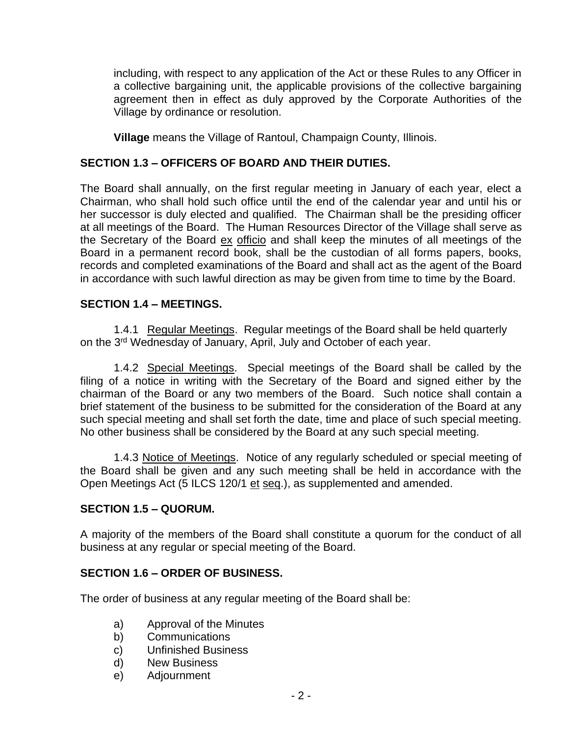including, with respect to any application of the Act or these Rules to any Officer in a collective bargaining unit, the applicable provisions of the collective bargaining agreement then in effect as duly approved by the Corporate Authorities of the Village by ordinance or resolution.

**Village** means the Village of Rantoul, Champaign County, Illinois.

## **SECTION 1.3 – OFFICERS OF BOARD AND THEIR DUTIES.**

The Board shall annually, on the first regular meeting in January of each year, elect a Chairman, who shall hold such office until the end of the calendar year and until his or her successor is duly elected and qualified. The Chairman shall be the presiding officer at all meetings of the Board. The Human Resources Director of the Village shall serve as the Secretary of the Board ex officio and shall keep the minutes of all meetings of the Board in a permanent record book, shall be the custodian of all forms papers, books, records and completed examinations of the Board and shall act as the agent of the Board in accordance with such lawful direction as may be given from time to time by the Board.

## **SECTION 1.4 – MEETINGS.**

1.4.1 Regular Meetings. Regular meetings of the Board shall be held quarterly on the 3rd Wednesday of January, April, July and October of each year.

1.4.2 Special Meetings. Special meetings of the Board shall be called by the filing of a notice in writing with the Secretary of the Board and signed either by the chairman of the Board or any two members of the Board. Such notice shall contain a brief statement of the business to be submitted for the consideration of the Board at any such special meeting and shall set forth the date, time and place of such special meeting. No other business shall be considered by the Board at any such special meeting.

1.4.3 Notice of Meetings. Notice of any regularly scheduled or special meeting of the Board shall be given and any such meeting shall be held in accordance with the Open Meetings Act (5 ILCS 120/1 et seq.), as supplemented and amended.

## **SECTION 1.5 – QUORUM.**

A majority of the members of the Board shall constitute a quorum for the conduct of all business at any regular or special meeting of the Board.

## **SECTION 1.6 – ORDER OF BUSINESS.**

The order of business at any regular meeting of the Board shall be:

- a) Approval of the Minutes
- b) Communications
- c) Unfinished Business
- d) New Business
- e) Adjournment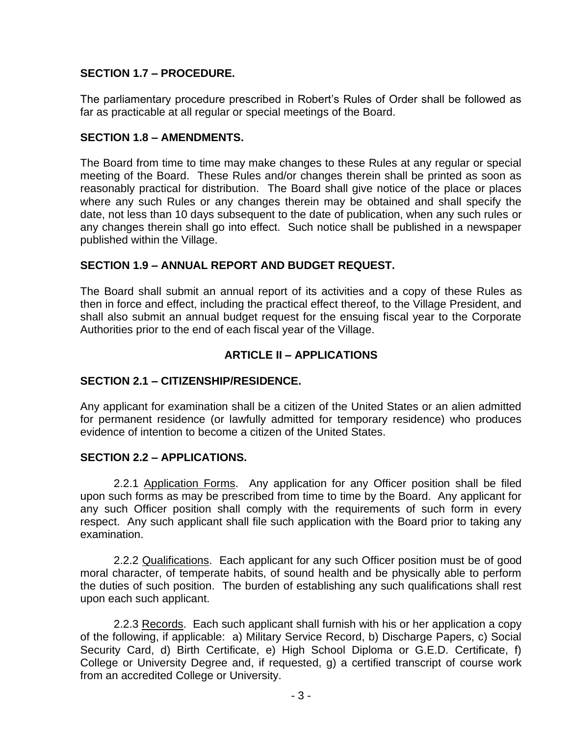## **SECTION 1.7 – PROCEDURE.**

The parliamentary procedure prescribed in Robert's Rules of Order shall be followed as far as practicable at all regular or special meetings of the Board.

## **SECTION 1.8 – AMENDMENTS.**

The Board from time to time may make changes to these Rules at any regular or special meeting of the Board. These Rules and/or changes therein shall be printed as soon as reasonably practical for distribution. The Board shall give notice of the place or places where any such Rules or any changes therein may be obtained and shall specify the date, not less than 10 days subsequent to the date of publication, when any such rules or any changes therein shall go into effect. Such notice shall be published in a newspaper published within the Village.

## **SECTION 1.9 – ANNUAL REPORT AND BUDGET REQUEST.**

The Board shall submit an annual report of its activities and a copy of these Rules as then in force and effect, including the practical effect thereof, to the Village President, and shall also submit an annual budget request for the ensuing fiscal year to the Corporate Authorities prior to the end of each fiscal year of the Village.

## **ARTICLE II – APPLICATIONS**

#### **SECTION 2.1 – CITIZENSHIP/RESIDENCE.**

Any applicant for examination shall be a citizen of the United States or an alien admitted for permanent residence (or lawfully admitted for temporary residence) who produces evidence of intention to become a citizen of the United States.

#### **SECTION 2.2 – APPLICATIONS.**

2.2.1 Application Forms. Any application for any Officer position shall be filed upon such forms as may be prescribed from time to time by the Board. Any applicant for any such Officer position shall comply with the requirements of such form in every respect. Any such applicant shall file such application with the Board prior to taking any examination.

2.2.2 Qualifications. Each applicant for any such Officer position must be of good moral character, of temperate habits, of sound health and be physically able to perform the duties of such position. The burden of establishing any such qualifications shall rest upon each such applicant.

2.2.3 Records. Each such applicant shall furnish with his or her application a copy of the following, if applicable: a) Military Service Record, b) Discharge Papers, c) Social Security Card, d) Birth Certificate, e) High School Diploma or G.E.D. Certificate, f) College or University Degree and, if requested, g) a certified transcript of course work from an accredited College or University.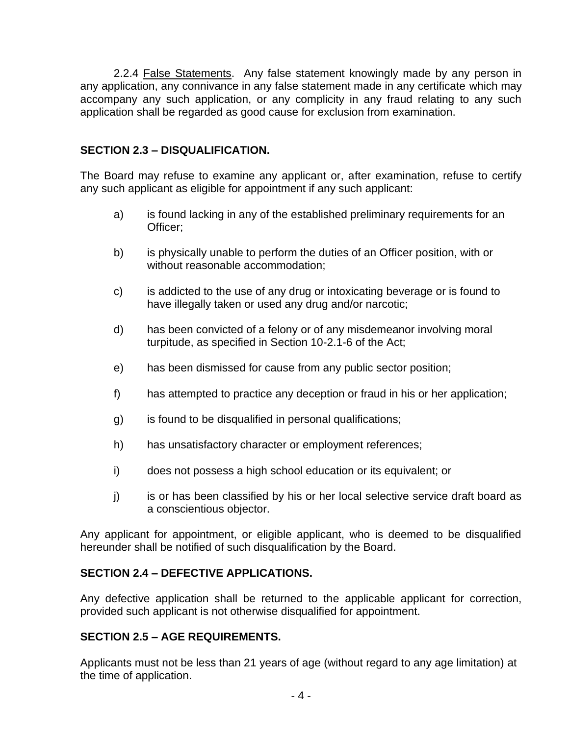2.2.4 False Statements. Any false statement knowingly made by any person in any application, any connivance in any false statement made in any certificate which may accompany any such application, or any complicity in any fraud relating to any such application shall be regarded as good cause for exclusion from examination.

## **SECTION 2.3 – DISQUALIFICATION.**

The Board may refuse to examine any applicant or, after examination, refuse to certify any such applicant as eligible for appointment if any such applicant:

- a) is found lacking in any of the established preliminary requirements for an Officer;
- b) is physically unable to perform the duties of an Officer position, with or without reasonable accommodation;
- c) is addicted to the use of any drug or intoxicating beverage or is found to have illegally taken or used any drug and/or narcotic;
- d) has been convicted of a felony or of any misdemeanor involving moral turpitude, as specified in Section 10-2.1-6 of the Act;
- e) has been dismissed for cause from any public sector position;
- f) has attempted to practice any deception or fraud in his or her application;
- g) is found to be disqualified in personal qualifications;
- h) has unsatisfactory character or employment references;
- i) does not possess a high school education or its equivalent; or
- j) is or has been classified by his or her local selective service draft board as a conscientious objector.

Any applicant for appointment, or eligible applicant, who is deemed to be disqualified hereunder shall be notified of such disqualification by the Board.

## **SECTION 2.4 – DEFECTIVE APPLICATIONS.**

Any defective application shall be returned to the applicable applicant for correction, provided such applicant is not otherwise disqualified for appointment.

## **SECTION 2.5 – AGE REQUIREMENTS.**

Applicants must not be less than 21 years of age (without regard to any age limitation) at the time of application.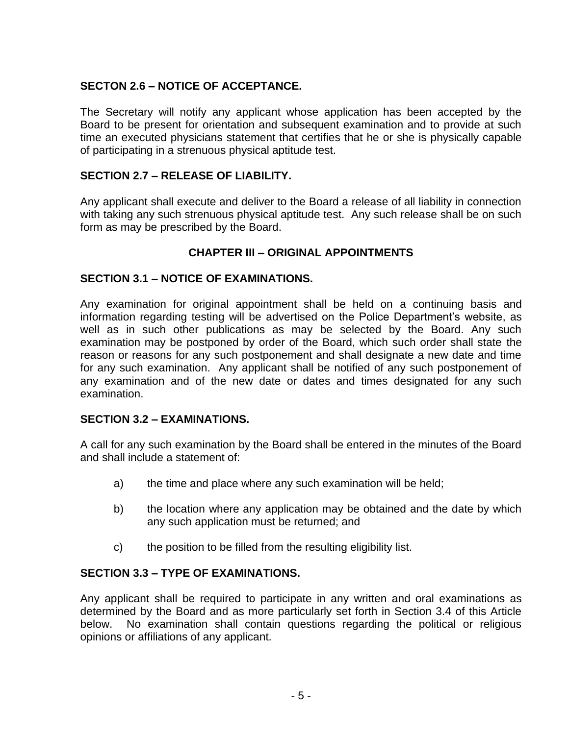## **SECTON 2.6 – NOTICE OF ACCEPTANCE.**

The Secretary will notify any applicant whose application has been accepted by the Board to be present for orientation and subsequent examination and to provide at such time an executed physicians statement that certifies that he or she is physically capable of participating in a strenuous physical aptitude test.

## **SECTION 2.7 – RELEASE OF LIABILITY.**

Any applicant shall execute and deliver to the Board a release of all liability in connection with taking any such strenuous physical aptitude test. Any such release shall be on such form as may be prescribed by the Board.

## **CHAPTER III – ORIGINAL APPOINTMENTS**

#### **SECTION 3.1 – NOTICE OF EXAMINATIONS.**

Any examination for original appointment shall be held on a continuing basis and information regarding testing will be advertised on the Police Department's website, as well as in such other publications as may be selected by the Board. Any such examination may be postponed by order of the Board, which such order shall state the reason or reasons for any such postponement and shall designate a new date and time for any such examination. Any applicant shall be notified of any such postponement of any examination and of the new date or dates and times designated for any such examination.

#### **SECTION 3.2 – EXAMINATIONS.**

A call for any such examination by the Board shall be entered in the minutes of the Board and shall include a statement of:

- a) the time and place where any such examination will be held;
- b) the location where any application may be obtained and the date by which any such application must be returned; and
- c) the position to be filled from the resulting eligibility list.

## **SECTION 3.3 – TYPE OF EXAMINATIONS.**

Any applicant shall be required to participate in any written and oral examinations as determined by the Board and as more particularly set forth in Section 3.4 of this Article below. No examination shall contain questions regarding the political or religious opinions or affiliations of any applicant.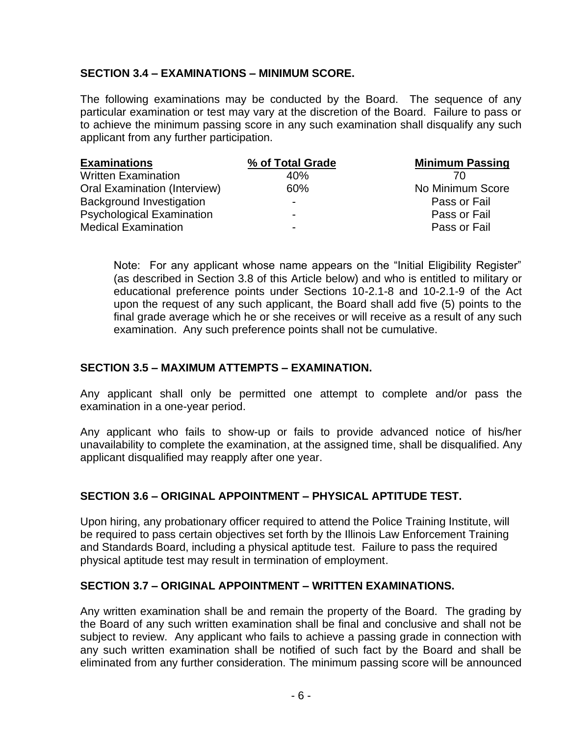## **SECTION 3.4 – EXAMINATIONS – MINIMUM SCORE.**

The following examinations may be conducted by the Board. The sequence of any particular examination or test may vary at the discretion of the Board. Failure to pass or to achieve the minimum passing score in any such examination shall disqualify any such applicant from any further participation.

| <b>Examinations</b>                 | % of Total Grade         | <b>Minimum Passing</b> |
|-------------------------------------|--------------------------|------------------------|
| <b>Written Examination</b>          | 40%                      |                        |
| <b>Oral Examination (Interview)</b> | 60%                      | No Minimum Score       |
| Background Investigation            | $\overline{\phantom{0}}$ | Pass or Fail           |
| <b>Psychological Examination</b>    | $\overline{\phantom{0}}$ | Pass or Fail           |
| <b>Medical Examination</b>          | $\overline{\phantom{0}}$ | Pass or Fail           |

Note: For any applicant whose name appears on the "Initial Eligibility Register" (as described in Section 3.8 of this Article below) and who is entitled to military or educational preference points under Sections 10-2.1-8 and 10-2.1-9 of the Act upon the request of any such applicant, the Board shall add five (5) points to the final grade average which he or she receives or will receive as a result of any such examination. Any such preference points shall not be cumulative.

## **SECTION 3.5 – MAXIMUM ATTEMPTS – EXAMINATION.**

Any applicant shall only be permitted one attempt to complete and/or pass the examination in a one-year period.

Any applicant who fails to show-up or fails to provide advanced notice of his/her unavailability to complete the examination, at the assigned time, shall be disqualified. Any applicant disqualified may reapply after one year.

#### **SECTION 3.6 – ORIGINAL APPOINTMENT – PHYSICAL APTITUDE TEST.**

Upon hiring, any probationary officer required to attend the Police Training Institute, will be required to pass certain objectives set forth by the Illinois Law Enforcement Training and Standards Board, including a physical aptitude test. Failure to pass the required physical aptitude test may result in termination of employment.

#### **SECTION 3.7 – ORIGINAL APPOINTMENT – WRITTEN EXAMINATIONS.**

Any written examination shall be and remain the property of the Board. The grading by the Board of any such written examination shall be final and conclusive and shall not be subject to review. Any applicant who fails to achieve a passing grade in connection with any such written examination shall be notified of such fact by the Board and shall be eliminated from any further consideration. The minimum passing score will be announced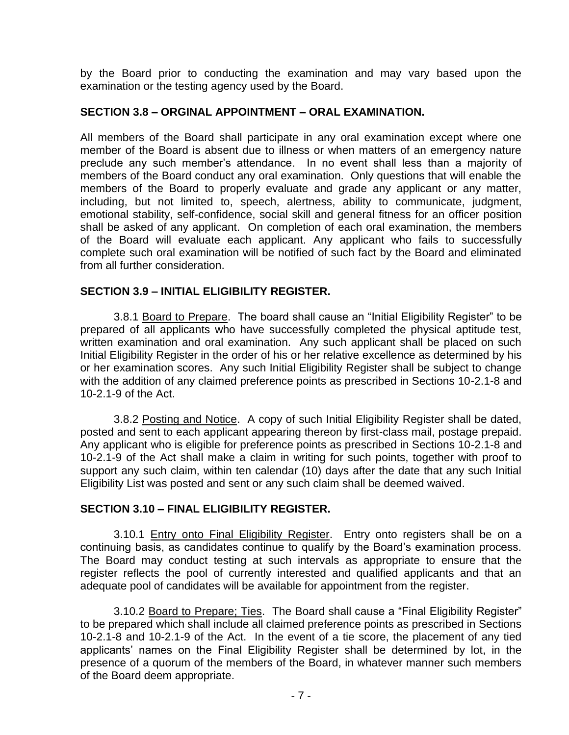by the Board prior to conducting the examination and may vary based upon the examination or the testing agency used by the Board.

#### **SECTION 3.8 – ORGINAL APPOINTMENT – ORAL EXAMINATION.**

All members of the Board shall participate in any oral examination except where one member of the Board is absent due to illness or when matters of an emergency nature preclude any such member's attendance. In no event shall less than a majority of members of the Board conduct any oral examination. Only questions that will enable the members of the Board to properly evaluate and grade any applicant or any matter, including, but not limited to, speech, alertness, ability to communicate, judgment, emotional stability, self-confidence, social skill and general fitness for an officer position shall be asked of any applicant. On completion of each oral examination, the members of the Board will evaluate each applicant. Any applicant who fails to successfully complete such oral examination will be notified of such fact by the Board and eliminated from all further consideration.

#### **SECTION 3.9 – INITIAL ELIGIBILITY REGISTER.**

3.8.1 Board to Prepare. The board shall cause an "Initial Eligibility Register" to be prepared of all applicants who have successfully completed the physical aptitude test, written examination and oral examination. Any such applicant shall be placed on such Initial Eligibility Register in the order of his or her relative excellence as determined by his or her examination scores. Any such Initial Eligibility Register shall be subject to change with the addition of any claimed preference points as prescribed in Sections 10-2.1-8 and 10-2.1-9 of the Act.

3.8.2 Posting and Notice. A copy of such Initial Eligibility Register shall be dated, posted and sent to each applicant appearing thereon by first-class mail, postage prepaid. Any applicant who is eligible for preference points as prescribed in Sections 10-2.1-8 and 10-2.1-9 of the Act shall make a claim in writing for such points, together with proof to support any such claim, within ten calendar (10) days after the date that any such Initial Eligibility List was posted and sent or any such claim shall be deemed waived.

#### **SECTION 3.10 – FINAL ELIGIBILITY REGISTER.**

3.10.1 Entry onto Final Eligibility Register. Entry onto registers shall be on a continuing basis, as candidates continue to qualify by the Board's examination process. The Board may conduct testing at such intervals as appropriate to ensure that the register reflects the pool of currently interested and qualified applicants and that an adequate pool of candidates will be available for appointment from the register.

3.10.2 Board to Prepare; Ties. The Board shall cause a "Final Eligibility Register" to be prepared which shall include all claimed preference points as prescribed in Sections 10-2.1-8 and 10-2.1-9 of the Act. In the event of a tie score, the placement of any tied applicants' names on the Final Eligibility Register shall be determined by lot, in the presence of a quorum of the members of the Board, in whatever manner such members of the Board deem appropriate.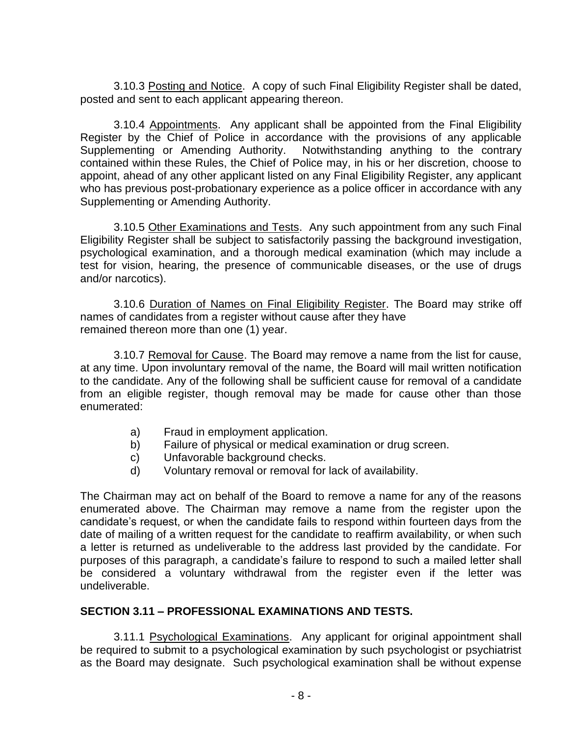3.10.3 Posting and Notice. A copy of such Final Eligibility Register shall be dated, posted and sent to each applicant appearing thereon.

3.10.4 Appointments. Any applicant shall be appointed from the Final Eligibility Register by the Chief of Police in accordance with the provisions of any applicable Supplementing or Amending Authority. Notwithstanding anything to the contrary contained within these Rules, the Chief of Police may, in his or her discretion, choose to appoint, ahead of any other applicant listed on any Final Eligibility Register, any applicant who has previous post-probationary experience as a police officer in accordance with any Supplementing or Amending Authority.

3.10.5 Other Examinations and Tests. Any such appointment from any such Final Eligibility Register shall be subject to satisfactorily passing the background investigation, psychological examination, and a thorough medical examination (which may include a test for vision, hearing, the presence of communicable diseases, or the use of drugs and/or narcotics).

3.10.6 Duration of Names on Final Eligibility Register. The Board may strike off names of candidates from a register without cause after they have remained thereon more than one (1) year.

3.10.7 Removal for Cause. The Board may remove a name from the list for cause, at any time. Upon involuntary removal of the name, the Board will mail written notification to the candidate. Any of the following shall be sufficient cause for removal of a candidate from an eligible register, though removal may be made for cause other than those enumerated:

- a) Fraud in employment application.
- b) Failure of physical or medical examination or drug screen.
- c) Unfavorable background checks.
- d) Voluntary removal or removal for lack of availability.

The Chairman may act on behalf of the Board to remove a name for any of the reasons enumerated above. The Chairman may remove a name from the register upon the candidate's request, or when the candidate fails to respond within fourteen days from the date of mailing of a written request for the candidate to reaffirm availability, or when such a letter is returned as undeliverable to the address last provided by the candidate. For purposes of this paragraph, a candidate's failure to respond to such a mailed letter shall be considered a voluntary withdrawal from the register even if the letter was undeliverable.

#### **SECTION 3.11 – PROFESSIONAL EXAMINATIONS AND TESTS.**

3.11.1 Psychological Examinations. Any applicant for original appointment shall be required to submit to a psychological examination by such psychologist or psychiatrist as the Board may designate. Such psychological examination shall be without expense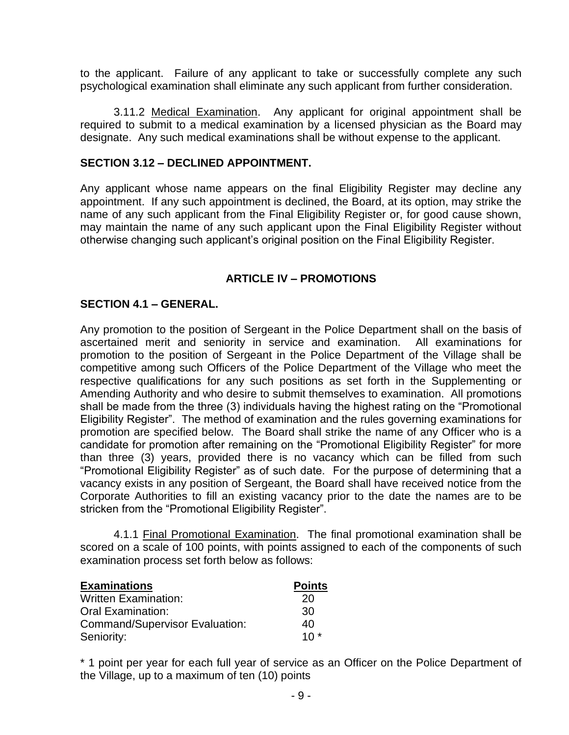to the applicant. Failure of any applicant to take or successfully complete any such psychological examination shall eliminate any such applicant from further consideration.

3.11.2 Medical Examination. Any applicant for original appointment shall be required to submit to a medical examination by a licensed physician as the Board may designate. Any such medical examinations shall be without expense to the applicant.

#### **SECTION 3.12 – DECLINED APPOINTMENT.**

Any applicant whose name appears on the final Eligibility Register may decline any appointment. If any such appointment is declined, the Board, at its option, may strike the name of any such applicant from the Final Eligibility Register or, for good cause shown, may maintain the name of any such applicant upon the Final Eligibility Register without otherwise changing such applicant's original position on the Final Eligibility Register.

#### **ARTICLE IV – PROMOTIONS**

#### **SECTION 4.1 – GENERAL.**

Any promotion to the position of Sergeant in the Police Department shall on the basis of ascertained merit and seniority in service and examination. All examinations for promotion to the position of Sergeant in the Police Department of the Village shall be competitive among such Officers of the Police Department of the Village who meet the respective qualifications for any such positions as set forth in the Supplementing or Amending Authority and who desire to submit themselves to examination. All promotions shall be made from the three (3) individuals having the highest rating on the "Promotional Eligibility Register". The method of examination and the rules governing examinations for promotion are specified below. The Board shall strike the name of any Officer who is a candidate for promotion after remaining on the "Promotional Eligibility Register" for more than three (3) years, provided there is no vacancy which can be filled from such "Promotional Eligibility Register" as of such date. For the purpose of determining that a vacancy exists in any position of Sergeant, the Board shall have received notice from the Corporate Authorities to fill an existing vacancy prior to the date the names are to be stricken from the "Promotional Eligibility Register".

4.1.1 Final Promotional Examination. The final promotional examination shall be scored on a scale of 100 points, with points assigned to each of the components of such examination process set forth below as follows:

| <b>Examinations</b>                   | <b>Points</b> |
|---------------------------------------|---------------|
| <b>Written Examination:</b>           | 20            |
| <b>Oral Examination:</b>              | 30            |
| <b>Command/Supervisor Evaluation:</b> | 40            |
| Seniority:                            | $10*$         |

\* 1 point per year for each full year of service as an Officer on the Police Department of the Village, up to a maximum of ten (10) points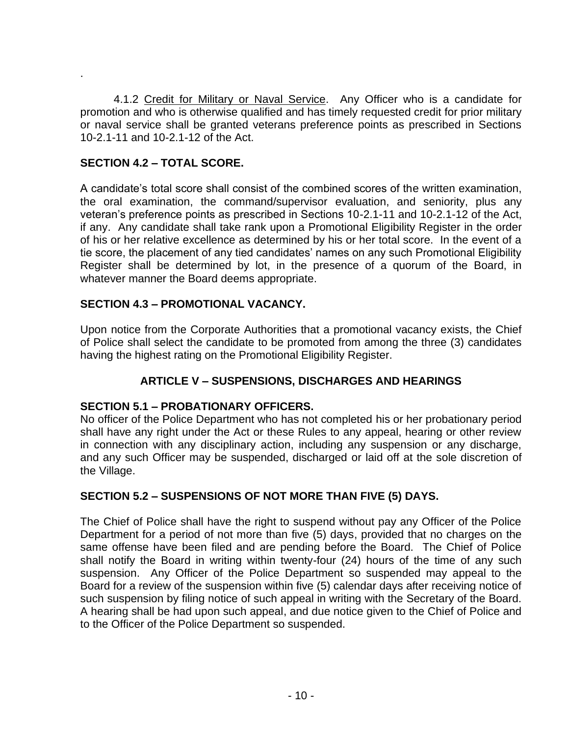4.1.2 Credit for Military or Naval Service. Any Officer who is a candidate for promotion and who is otherwise qualified and has timely requested credit for prior military or naval service shall be granted veterans preference points as prescribed in Sections 10-2.1-11 and 10-2.1-12 of the Act.

## **SECTION 4.2 – TOTAL SCORE.**

.

A candidate's total score shall consist of the combined scores of the written examination, the oral examination, the command/supervisor evaluation, and seniority, plus any veteran's preference points as prescribed in Sections 10-2.1-11 and 10-2.1-12 of the Act, if any. Any candidate shall take rank upon a Promotional Eligibility Register in the order of his or her relative excellence as determined by his or her total score. In the event of a tie score, the placement of any tied candidates' names on any such Promotional Eligibility Register shall be determined by lot, in the presence of a quorum of the Board, in whatever manner the Board deems appropriate.

## **SECTION 4.3 – PROMOTIONAL VACANCY.**

Upon notice from the Corporate Authorities that a promotional vacancy exists, the Chief of Police shall select the candidate to be promoted from among the three (3) candidates having the highest rating on the Promotional Eligibility Register.

## **ARTICLE V – SUSPENSIONS, DISCHARGES AND HEARINGS**

#### **SECTION 5.1 – PROBATIONARY OFFICERS.**

No officer of the Police Department who has not completed his or her probationary period shall have any right under the Act or these Rules to any appeal, hearing or other review in connection with any disciplinary action, including any suspension or any discharge, and any such Officer may be suspended, discharged or laid off at the sole discretion of the Village.

#### **SECTION 5.2 – SUSPENSIONS OF NOT MORE THAN FIVE (5) DAYS.**

The Chief of Police shall have the right to suspend without pay any Officer of the Police Department for a period of not more than five (5) days, provided that no charges on the same offense have been filed and are pending before the Board. The Chief of Police shall notify the Board in writing within twenty-four (24) hours of the time of any such suspension. Any Officer of the Police Department so suspended may appeal to the Board for a review of the suspension within five (5) calendar days after receiving notice of such suspension by filing notice of such appeal in writing with the Secretary of the Board. A hearing shall be had upon such appeal, and due notice given to the Chief of Police and to the Officer of the Police Department so suspended.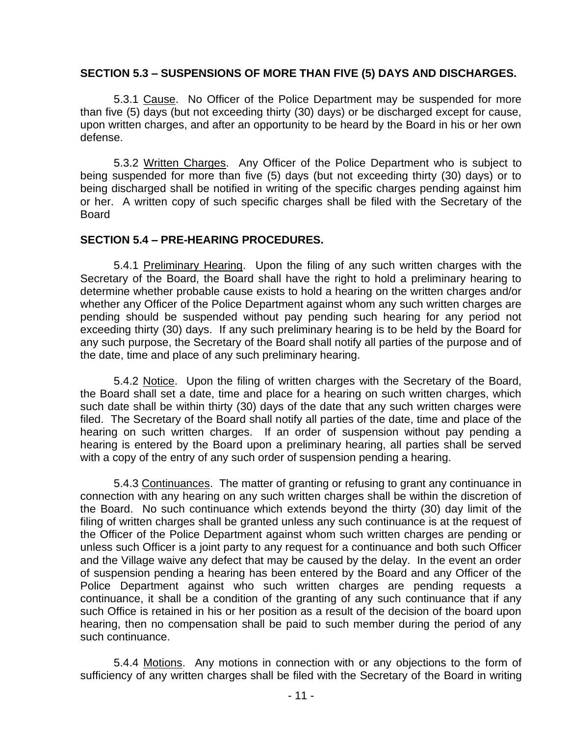#### **SECTION 5.3 – SUSPENSIONS OF MORE THAN FIVE (5) DAYS AND DISCHARGES.**

5.3.1 Cause. No Officer of the Police Department may be suspended for more than five (5) days (but not exceeding thirty (30) days) or be discharged except for cause, upon written charges, and after an opportunity to be heard by the Board in his or her own defense.

5.3.2 Written Charges. Any Officer of the Police Department who is subject to being suspended for more than five (5) days (but not exceeding thirty (30) days) or to being discharged shall be notified in writing of the specific charges pending against him or her. A written copy of such specific charges shall be filed with the Secretary of the Board

#### **SECTION 5.4 – PRE-HEARING PROCEDURES.**

5.4.1 Preliminary Hearing. Upon the filing of any such written charges with the Secretary of the Board, the Board shall have the right to hold a preliminary hearing to determine whether probable cause exists to hold a hearing on the written charges and/or whether any Officer of the Police Department against whom any such written charges are pending should be suspended without pay pending such hearing for any period not exceeding thirty (30) days. If any such preliminary hearing is to be held by the Board for any such purpose, the Secretary of the Board shall notify all parties of the purpose and of the date, time and place of any such preliminary hearing.

5.4.2 Notice. Upon the filing of written charges with the Secretary of the Board, the Board shall set a date, time and place for a hearing on such written charges, which such date shall be within thirty (30) days of the date that any such written charges were filed. The Secretary of the Board shall notify all parties of the date, time and place of the hearing on such written charges. If an order of suspension without pay pending a hearing is entered by the Board upon a preliminary hearing, all parties shall be served with a copy of the entry of any such order of suspension pending a hearing.

5.4.3 Continuances. The matter of granting or refusing to grant any continuance in connection with any hearing on any such written charges shall be within the discretion of the Board. No such continuance which extends beyond the thirty (30) day limit of the filing of written charges shall be granted unless any such continuance is at the request of the Officer of the Police Department against whom such written charges are pending or unless such Officer is a joint party to any request for a continuance and both such Officer and the Village waive any defect that may be caused by the delay. In the event an order of suspension pending a hearing has been entered by the Board and any Officer of the Police Department against who such written charges are pending requests a continuance, it shall be a condition of the granting of any such continuance that if any such Office is retained in his or her position as a result of the decision of the board upon hearing, then no compensation shall be paid to such member during the period of any such continuance.

5.4.4 Motions. Any motions in connection with or any objections to the form of sufficiency of any written charges shall be filed with the Secretary of the Board in writing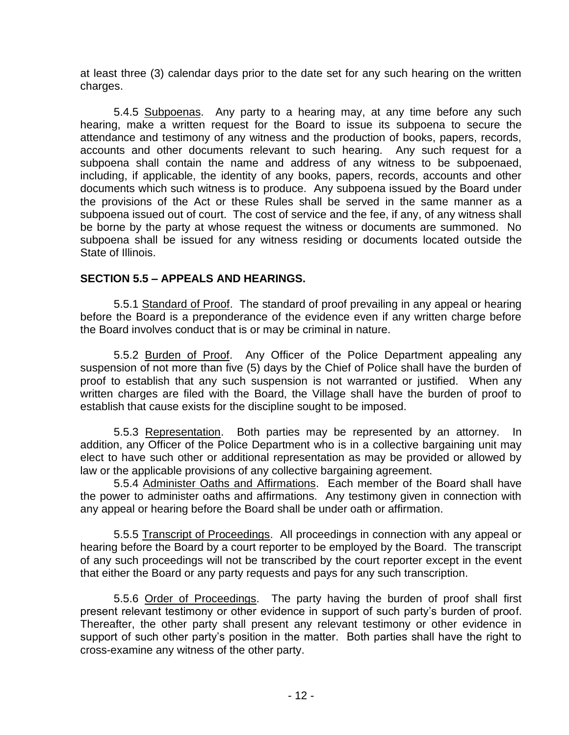at least three (3) calendar days prior to the date set for any such hearing on the written charges.

5.4.5 Subpoenas. Any party to a hearing may, at any time before any such hearing, make a written request for the Board to issue its subpoena to secure the attendance and testimony of any witness and the production of books, papers, records, accounts and other documents relevant to such hearing. Any such request for a subpoena shall contain the name and address of any witness to be subpoenaed, including, if applicable, the identity of any books, papers, records, accounts and other documents which such witness is to produce. Any subpoena issued by the Board under the provisions of the Act or these Rules shall be served in the same manner as a subpoena issued out of court. The cost of service and the fee, if any, of any witness shall be borne by the party at whose request the witness or documents are summoned. No subpoena shall be issued for any witness residing or documents located outside the State of Illinois.

## **SECTION 5.5 – APPEALS AND HEARINGS.**

5.5.1 Standard of Proof. The standard of proof prevailing in any appeal or hearing before the Board is a preponderance of the evidence even if any written charge before the Board involves conduct that is or may be criminal in nature.

5.5.2 Burden of Proof. Any Officer of the Police Department appealing any suspension of not more than five (5) days by the Chief of Police shall have the burden of proof to establish that any such suspension is not warranted or justified. When any written charges are filed with the Board, the Village shall have the burden of proof to establish that cause exists for the discipline sought to be imposed.

5.5.3 Representation. Both parties may be represented by an attorney. In addition, any Officer of the Police Department who is in a collective bargaining unit may elect to have such other or additional representation as may be provided or allowed by law or the applicable provisions of any collective bargaining agreement.

5.5.4 Administer Oaths and Affirmations. Each member of the Board shall have the power to administer oaths and affirmations. Any testimony given in connection with any appeal or hearing before the Board shall be under oath or affirmation.

5.5.5 Transcript of Proceedings. All proceedings in connection with any appeal or hearing before the Board by a court reporter to be employed by the Board. The transcript of any such proceedings will not be transcribed by the court reporter except in the event that either the Board or any party requests and pays for any such transcription.

5.5.6 Order of Proceedings. The party having the burden of proof shall first present relevant testimony or other evidence in support of such party's burden of proof. Thereafter, the other party shall present any relevant testimony or other evidence in support of such other party's position in the matter. Both parties shall have the right to cross-examine any witness of the other party.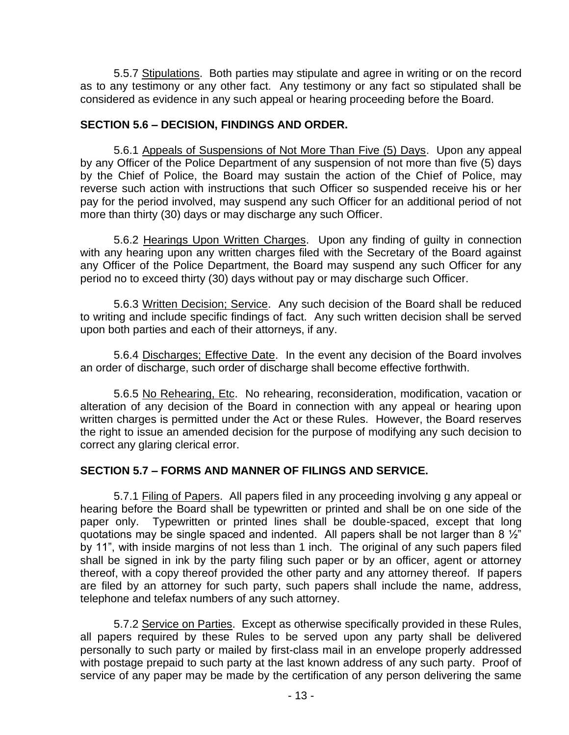5.5.7 Stipulations. Both parties may stipulate and agree in writing or on the record as to any testimony or any other fact. Any testimony or any fact so stipulated shall be considered as evidence in any such appeal or hearing proceeding before the Board.

## **SECTION 5.6 – DECISION, FINDINGS AND ORDER.**

5.6.1 Appeals of Suspensions of Not More Than Five (5) Days. Upon any appeal by any Officer of the Police Department of any suspension of not more than five (5) days by the Chief of Police, the Board may sustain the action of the Chief of Police, may reverse such action with instructions that such Officer so suspended receive his or her pay for the period involved, may suspend any such Officer for an additional period of not more than thirty (30) days or may discharge any such Officer.

5.6.2 Hearings Upon Written Charges. Upon any finding of guilty in connection with any hearing upon any written charges filed with the Secretary of the Board against any Officer of the Police Department, the Board may suspend any such Officer for any period no to exceed thirty (30) days without pay or may discharge such Officer.

5.6.3 Written Decision; Service. Any such decision of the Board shall be reduced to writing and include specific findings of fact. Any such written decision shall be served upon both parties and each of their attorneys, if any.

5.6.4 Discharges; Effective Date. In the event any decision of the Board involves an order of discharge, such order of discharge shall become effective forthwith.

5.6.5 No Rehearing, Etc. No rehearing, reconsideration, modification, vacation or alteration of any decision of the Board in connection with any appeal or hearing upon written charges is permitted under the Act or these Rules. However, the Board reserves the right to issue an amended decision for the purpose of modifying any such decision to correct any glaring clerical error.

## **SECTION 5.7 – FORMS AND MANNER OF FILINGS AND SERVICE.**

5.7.1 Filing of Papers. All papers filed in any proceeding involving g any appeal or hearing before the Board shall be typewritten or printed and shall be on one side of the paper only. Typewritten or printed lines shall be double-spaced, except that long quotations may be single spaced and indented. All papers shall be not larger than 8  $\frac{1}{2}$ " by 11", with inside margins of not less than 1 inch. The original of any such papers filed shall be signed in ink by the party filing such paper or by an officer, agent or attorney thereof, with a copy thereof provided the other party and any attorney thereof. If papers are filed by an attorney for such party, such papers shall include the name, address, telephone and telefax numbers of any such attorney.

5.7.2 Service on Parties. Except as otherwise specifically provided in these Rules, all papers required by these Rules to be served upon any party shall be delivered personally to such party or mailed by first-class mail in an envelope properly addressed with postage prepaid to such party at the last known address of any such party. Proof of service of any paper may be made by the certification of any person delivering the same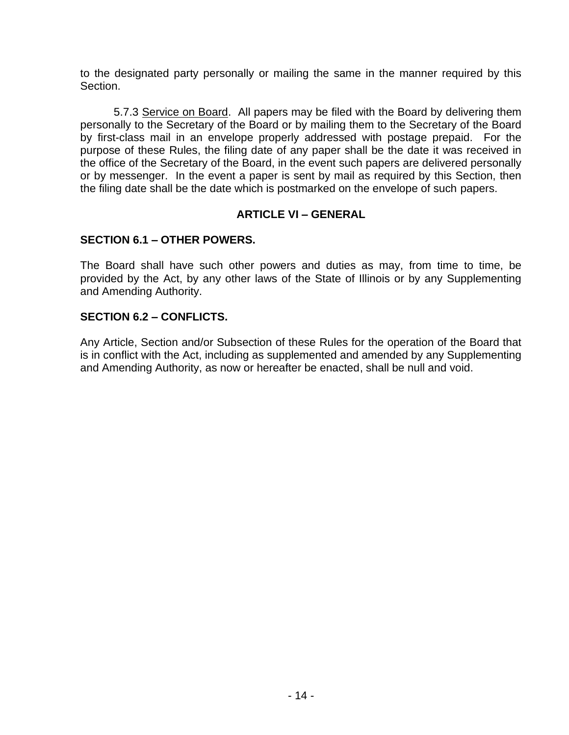to the designated party personally or mailing the same in the manner required by this Section.

5.7.3 Service on Board. All papers may be filed with the Board by delivering them personally to the Secretary of the Board or by mailing them to the Secretary of the Board by first-class mail in an envelope properly addressed with postage prepaid. For the purpose of these Rules, the filing date of any paper shall be the date it was received in the office of the Secretary of the Board, in the event such papers are delivered personally or by messenger. In the event a paper is sent by mail as required by this Section, then the filing date shall be the date which is postmarked on the envelope of such papers.

## **ARTICLE VI – GENERAL**

## **SECTION 6.1 – OTHER POWERS.**

The Board shall have such other powers and duties as may, from time to time, be provided by the Act, by any other laws of the State of Illinois or by any Supplementing and Amending Authority.

## **SECTION 6.2 – CONFLICTS.**

Any Article, Section and/or Subsection of these Rules for the operation of the Board that is in conflict with the Act, including as supplemented and amended by any Supplementing and Amending Authority, as now or hereafter be enacted, shall be null and void.